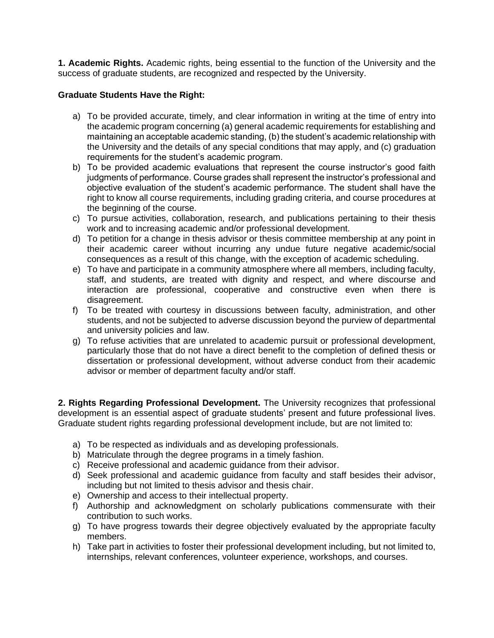**1. Academic Rights.** Academic rights, being essential to the function of the University and the success of graduate students, are recognized and respected by the University.

## **Graduate Students Have the Right:**

- a) To be provided accurate, timely, and clear information in writing at the time of entry into the academic program concerning (a) general academic requirements for establishing and maintaining an acceptable academic standing, (b) the student's academic relationship with the University and the details of any special conditions that may apply, and (c) graduation requirements for the student's academic program.
- b) To be provided academic evaluations that represent the course instructor's good faith judgments of performance. Course grades shall represent the instructor's professional and objective evaluation of the student's academic performance. The student shall have the right to know all course requirements, including grading criteria, and course procedures at the beginning of the course.
- c) To pursue activities, collaboration, research, and publications pertaining to their thesis work and to increasing academic and/or professional development.
- d) To petition for a change in thesis advisor or thesis committee membership at any point in their academic career without incurring any undue future negative academic/social consequences as a result of this change, with the exception of academic scheduling.
- e) To have and participate in a community atmosphere where all members, including faculty, staff, and students, are treated with dignity and respect, and where discourse and interaction are professional, cooperative and constructive even when there is disagreement.
- f) To be treated with courtesy in discussions between faculty, administration, and other students, and not be subjected to adverse discussion beyond the purview of departmental and university policies and law.
- g) To refuse activities that are unrelated to academic pursuit or professional development, particularly those that do not have a direct benefit to the completion of defined thesis or dissertation or professional development, without adverse conduct from their academic advisor or member of department faculty and/or staff.

**2. Rights Regarding Professional Development.** The University recognizes that professional development is an essential aspect of graduate students' present and future professional lives. Graduate student rights regarding professional development include, but are not limited to:

- a) To be respected as individuals and as developing professionals.
- b) Matriculate through the degree programs in a timely fashion.
- c) Receive professional and academic guidance from their advisor.
- d) Seek professional and academic guidance from faculty and staff besides their advisor, including but not limited to thesis advisor and thesis chair.
- e) Ownership and access to their intellectual property.
- f) Authorship and acknowledgment on scholarly publications commensurate with their contribution to such works.
- g) To have progress towards their degree objectively evaluated by the appropriate faculty members.
- h) Take part in activities to foster their professional development including, but not limited to, internships, relevant conferences, volunteer experience, workshops, and courses.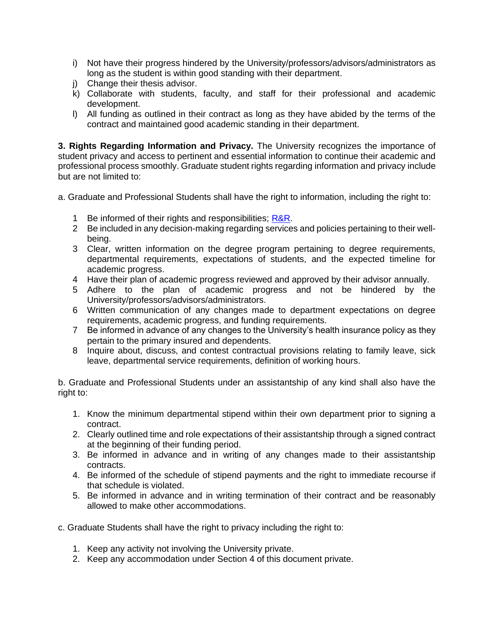- i) Not have their progress hindered by the University/professors/advisors/administrators as long as the student is within good standing with their department.
- j) Change their thesis advisor.
- k) Collaborate with students, faculty, and staff for their professional and academic development.
- l) All funding as outlined in their contract as long as they have abided by the terms of the contract and maintained good academic standing in their department.

**3. Rights Regarding Information and Privacy.** The University recognizes the importance of student privacy and access to pertinent and essential information to continue their academic and professional process smoothly. Graduate student rights regarding information and privacy include but are not limited to:

- a. Graduate and Professional Students shall have the right to information, including the right to:
	- 1 Be informed of their rights and responsibilities; [R&R.](https://www.uttyler.edu/wellness/rightsresponsibilities.php)
	- 2 Be included in any decision-making regarding services and policies pertaining to their wellbeing.
	- 3 Clear, written information on the degree program pertaining to degree requirements, departmental requirements, expectations of students, and the expected timeline for academic progress.
	- 4 Have their plan of academic progress reviewed and approved by their advisor annually.
	- 5 Adhere to the plan of academic progress and not be hindered by the University/professors/advisors/administrators.
	- 6 Written communication of any changes made to department expectations on degree requirements, academic progress, and funding requirements.
	- 7 Be informed in advance of any changes to the University's health insurance policy as they pertain to the primary insured and dependents.
	- 8 Inquire about, discuss, and contest contractual provisions relating to family leave, sick leave, departmental service requirements, definition of working hours.

b. Graduate and Professional Students under an assistantship of any kind shall also have the right to:

- 1. Know the minimum departmental stipend within their own department prior to signing a contract.
- 2. Clearly outlined time and role expectations of their assistantship through a signed contract at the beginning of their funding period.
- 3. Be informed in advance and in writing of any changes made to their assistantship contracts.
- 4. Be informed of the schedule of stipend payments and the right to immediate recourse if that schedule is violated.
- 5. Be informed in advance and in writing termination of their contract and be reasonably allowed to make other accommodations.

c. Graduate Students shall have the right to privacy including the right to:

- 1. Keep any activity not involving the University private.
- 2. Keep any accommodation under Section 4 of this document private.